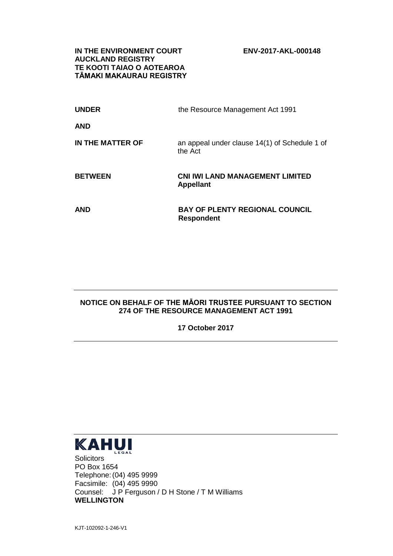**IN THE ENVIRONMENT COURT ENV-2017-AKL-000148 AUCKLAND REGISTRY TE KOOTI TAIAO O AOTEAROA TĀMAKI MAKAURAU REGISTRY**

| <b>UNDER</b>     | the Resource Management Act 1991                           |
|------------------|------------------------------------------------------------|
| <b>AND</b>       |                                                            |
| IN THE MATTER OF | an appeal under clause 14(1) of Schedule 1 of<br>the Act   |
| <b>BETWEEN</b>   | <b>CNI IWI LAND MANAGEMENT LIMITED</b><br><b>Appellant</b> |
| <b>AND</b>       | <b>BAY OF PLENTY REGIONAL COUNCIL</b><br><b>Respondent</b> |

## **NOTICE ON BEHALF OF THE MĀORI TRUSTEE PURSUANT TO SECTION 274 OF THE RESOURCE MANAGEMENT ACT 1991**

**17 October 2017**



**Solicitors** PO Box 1654 Telephone:(04) 495 9999 Facsimile: (04) 495 9990 Counsel: J P Ferguson / D H Stone / T M Williams **WELLINGTON**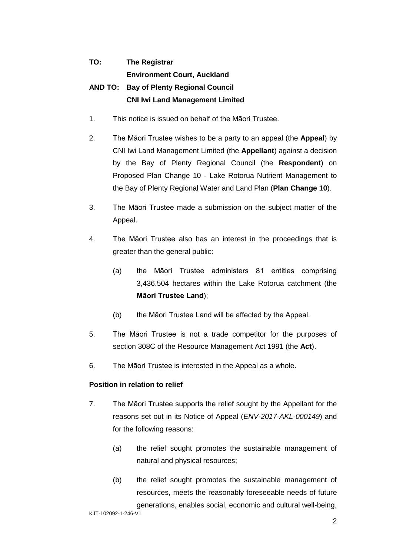## **TO: The Registrar Environment Court, Auckland AND TO: Bay of Plenty Regional Council CNI Iwi Land Management Limited**

- 1. This notice is issued on behalf of the Māori Trustee.
- 2. The Māori Trustee wishes to be a party to an appeal (the **Appeal**) by CNI Iwi Land Management Limited (the **Appellant**) against a decision by the Bay of Plenty Regional Council (the **Respondent**) on Proposed Plan Change 10 - Lake Rotorua Nutrient Management to the Bay of Plenty Regional Water and Land Plan (**Plan Change 10**).
- 3. The Māori Trustee made a submission on the subject matter of the Appeal.
- 4. The Māori Trustee also has an interest in the proceedings that is greater than the general public:
	- (a) the Māori Trustee administers 81 entities comprising 3,436.504 hectares within the Lake Rotorua catchment (the **Māori Trustee Land**);
	- (b) the Māori Trustee Land will be affected by the Appeal.
- 5. The Māori Trustee is not a trade competitor for the purposes of section 308C of the Resource Management Act 1991 (the **Act**).
- 6. The Māori Trustee is interested in the Appeal as a whole.

## **Position in relation to relief**

- 7. The Māori Trustee supports the relief sought by the Appellant for the reasons set out in its Notice of Appeal (*ENV-2017-AKL-000149*) and for the following reasons:
	- (a) the relief sought promotes the sustainable management of natural and physical resources;
	- (b) the relief sought promotes the sustainable management of resources, meets the reasonably foreseeable needs of future generations, enables social, economic and cultural well-being,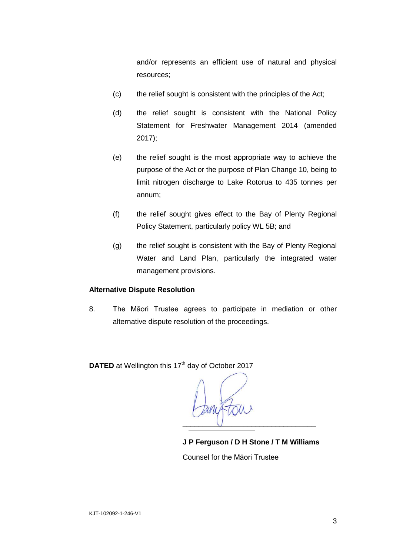and/or represents an efficient use of natural and physical resources;

- (c) the relief sought is consistent with the principles of the Act;
- (d) the relief sought is consistent with the National Policy Statement for Freshwater Management 2014 (amended 2017);
- (e) the relief sought is the most appropriate way to achieve the purpose of the Act or the purpose of Plan Change 10, being to limit nitrogen discharge to Lake Rotorua to 435 tonnes per annum;
- (f) the relief sought gives effect to the Bay of Plenty Regional Policy Statement, particularly policy WL 5B; and
- (g) the relief sought is consistent with the Bay of Plenty Regional Water and Land Plan, particularly the integrated water management provisions.

## **Alternative Dispute Resolution**

8. The Māori Trustee agrees to participate in mediation or other alternative dispute resolution of the proceedings.

**DATED** at Wellington this 17<sup>th</sup> day of October 2017

\_\_\_\_\_\_\_\_\_\_\_\_\_\_\_\_\_\_\_\_\_\_\_\_\_\_\_\_\_\_\_\_\_

**J P Ferguson / D H Stone / T M Williams**  Counsel for the Māori Trustee